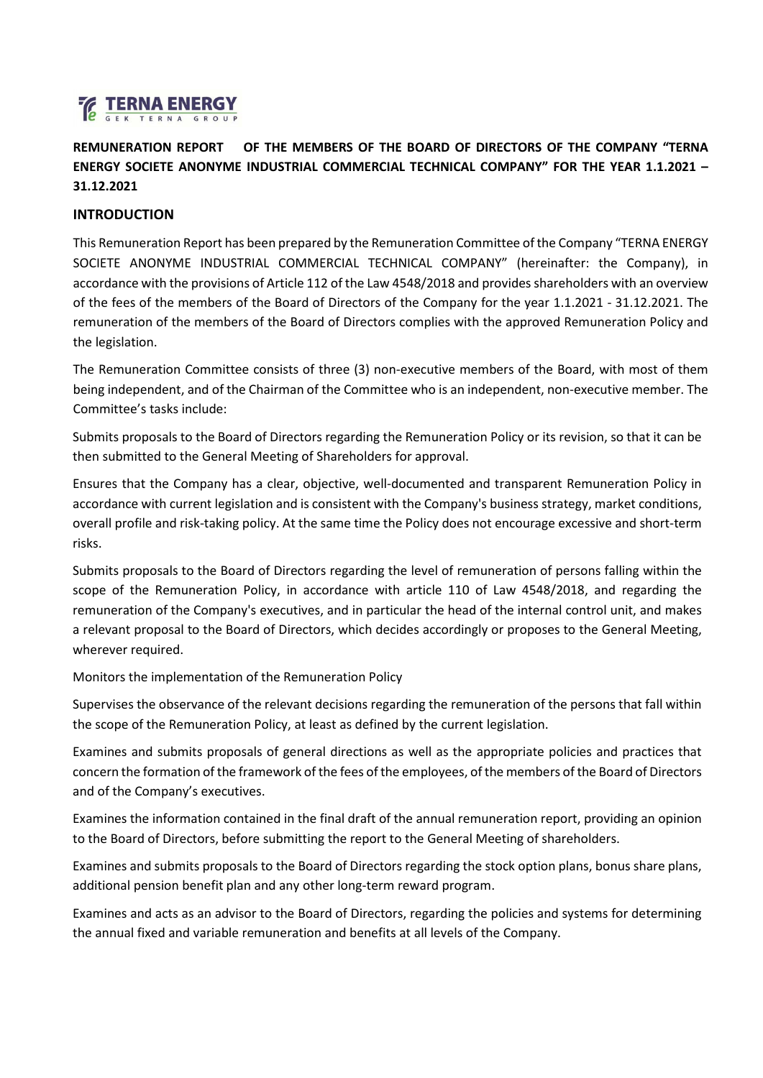

**REMUNERATION REPORT OF THE MEMBERS OF THE BOARD OF DIRECTORS OF THE COMPANY "TERNA ENERGY SOCIETE ANONYME INDUSTRIAL COMMERCIAL TECHNICAL COMPANY" FOR THE YEAR 1.1.2021 – 31.12.2021**

#### **INTRODUCTION**

This Remuneration Report has been prepared by the Remuneration Committee of the Company "TERNA ENERGY SOCIETE ANONYME INDUSTRIAL COMMERCIAL TECHNICAL COMPANY" (hereinafter: the Company), in accordance with the provisions of Article 112 of the Law 4548/2018 and provides shareholders with an overview of the fees of the members of the Board of Directors of the Company for the year 1.1.2021 - 31.12.2021. The remuneration of the members of the Board of Directors complies with the approved Remuneration Policy and the legislation.

The Remuneration Committee consists of three (3) non-executive members of the Board, with most of them being independent, and of the Chairman of the Committee who is an independent, non-executive member. The Committee's tasks include:

Submits proposals to the Board of Directors regarding the Remuneration Policy or its revision, so that it can be then submitted to the General Meeting of Shareholders for approval.

Ensures that the Company has a clear, objective, well-documented and transparent Remuneration Policy in accordance with current legislation and is consistent with the Company's business strategy, market conditions, overall profile and risk-taking policy. At the same time the Policy does not encourage excessive and short-term risks.

Submits proposals to the Board of Directors regarding the level of remuneration of persons falling within the scope of the Remuneration Policy, in accordance with article 110 of Law 4548/2018, and regarding the remuneration of the Company's executives, and in particular the head of the internal control unit, and makes a relevant proposal to the Board of Directors, which decides accordingly or proposes to the General Meeting, wherever required.

Monitors the implementation of the Remuneration Policy

Supervises the observance of the relevant decisions regarding the remuneration of the persons that fall within the scope of the Remuneration Policy, at least as defined by the current legislation.

Examines and submits proposals of general directions as well as the appropriate policies and practices that concern the formation of the framework of the fees of the employees, of the members of the Board of Directors and of the Company's executives.

Examines the information contained in the final draft of the annual remuneration report, providing an opinion to the Board of Directors, before submitting the report to the General Meeting of shareholders.

Examines and submits proposals to the Board of Directors regarding the stock option plans, bonus share plans, additional pension benefit plan and any other long-term reward program.

Examines and acts as an advisor to the Board of Directors, regarding the policies and systems for determining the annual fixed and variable remuneration and benefits at all levels of the Company.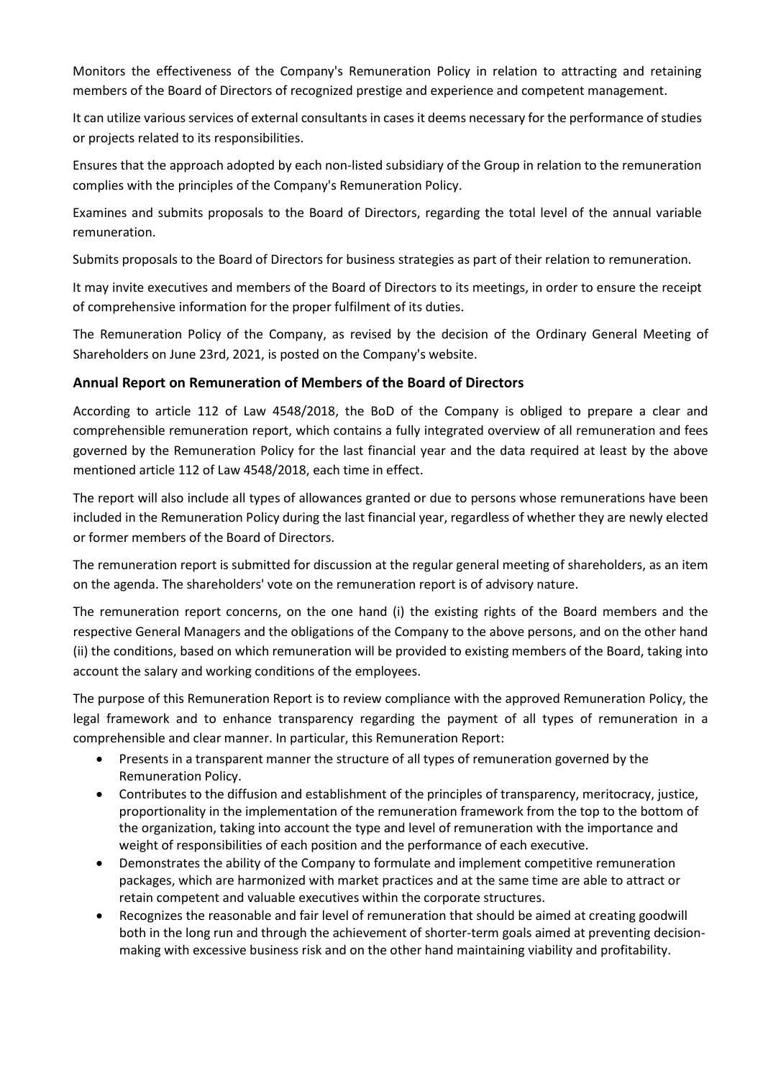Monitors the effectiveness of the Company's Remuneration Policy in relation to attracting and retaining members of the Board of Directors of recognized prestige and experience and competent management.

It can utilize various services of external consultants in cases it deems necessary for the performance of studies or projects related to its responsibilities.

Ensures that the approach adopted by each non-listed subsidiary of the Group in relation to the remuneration complies with the principles of the Company's Remuneration Policy.

Examines and submits proposals to the Board of Directors, regarding the total level of the annual variable remuneration.

Submits proposals to the Board of Directors for business strategies as part of their relation to remuneration.

It may invite executives and members of the Board of Directors to its meetings, in order to ensure the receipt of comprehensive information for the proper fulfilment of its duties.

The Remuneration Policy of the Company, as revised by the decision of the Ordinary General Meeting of Shareholders on June 23rd, 2021, is posted on the Company's website.

### **Annual Report on Remuneration of Members of the Board of Directors**

According to article 112 of Law 4548/2018, the BoD of the Company is obliged to prepare a clear and comprehensible remuneration report, which contains a fully integrated overview of all remuneration and fees governed by the Remuneration Policy for the last financial year and the data required at least by the above mentioned article 112 of Law 4548/2018, each time in effect.

The report will also include all types of allowances granted or due to persons whose remunerations have been included in the Remuneration Policy during the last financial year, regardless of whether they are newly elected or former members of the Board of Directors.

The remuneration report is submitted for discussion at the regular general meeting of shareholders, as an item on the agenda. The shareholders' vote on the remuneration report is of advisory nature.

The remuneration report concerns, on the one hand (i) the existing rights of the Board members and the respective General Managers and the obligations of the Company to the above persons, and on the other hand (ii) the conditions, based on which remuneration will be provided to existing members of the Board, taking into account the salary and working conditions of the employees.

The purpose of this Remuneration Report is to review compliance with the approved Remuneration Policy, the legal framework and to enhance transparency regarding the payment of all types of remuneration in a comprehensible and clear manner. In particular, this Remuneration Report:

- Presents in a transparent manner the structure of all types of remuneration governed by the Remuneration Policy.
- Contributes to the diffusion and establishment of the principles of transparency, meritocracy, justice, proportionality in the implementation of the remuneration framework from the top to the bottom of the organization, taking into account the type and level of remuneration with the importance and weight of responsibilities of each position and the performance of each executive.
- Demonstrates the ability of the Company to formulate and implement competitive remuneration packages, which are harmonized with market practices and at the same time are able to attract or retain competent and valuable executives within the corporate structures.
- Recognizes the reasonable and fair level of remuneration that should be aimed at creating goodwill both in the long run and through the achievement of shorter-term goals aimed at preventing decisionmaking with excessive business risk and on the other hand maintaining viability and profitability.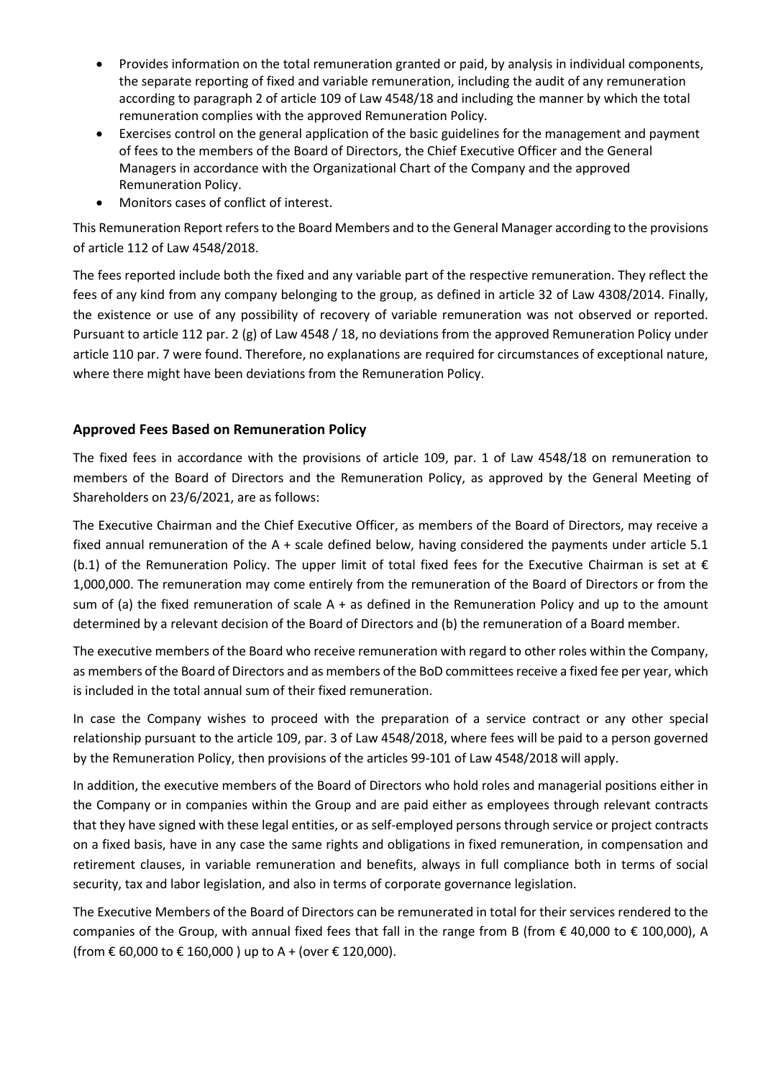- Provides information on the total remuneration granted or paid, by analysis in individual components, the separate reporting of fixed and variable remuneration, including the audit of any remuneration according to paragraph 2 of article 109 of Law 4548/18 and including the manner by which the total remuneration complies with the approved Remuneration Policy.
- Exercises control on the general application of the basic guidelines for the management and payment of fees to the members of the Board of Directors, the Chief Executive Officer and the General Managers in accordance with the Organizational Chart of the Company and the approved Remuneration Policy.
- Monitors cases of conflict of interest.

This Remuneration Report refers to the Board Members and to the General Manager according to the provisions of article 112 of Law 4548/2018.

The fees reported include both the fixed and any variable part of the respective remuneration. They reflect the fees of any kind from any company belonging to the group, as defined in article 32 of Law 4308/2014. Finally, the existence or use of any possibility of recovery of variable remuneration was not observed or reported. Pursuant to article 112 par. 2 (g) of Law 4548 / 18, no deviations from the approved Remuneration Policy under article 110 par. 7 were found. Therefore, no explanations are required for circumstances of exceptional nature, where there might have been deviations from the Remuneration Policy.

# **Approved Fees Based on Remuneration Policy**

The fixed fees in accordance with the provisions of article 109, par. 1 of Law 4548/18 on remuneration to members of the Board of Directors and the Remuneration Policy, as approved by the General Meeting of Shareholders on 23/6/2021, are as follows:

The Executive Chairman and the Chief Executive Officer, as members of the Board of Directors, may receive a fixed annual remuneration of the A + scale defined below, having considered the payments under article 5.1 (b.1) of the Remuneration Policy. The upper limit of total fixed fees for the Executive Chairman is set at  $\epsilon$ 1,000,000. The remuneration may come entirely from the remuneration of the Board of Directors or from the sum of (a) the fixed remuneration of scale A + as defined in the Remuneration Policy and up to the amount determined by a relevant decision of the Board of Directors and (b) the remuneration of a Board member.

The executive members of the Board who receive remuneration with regard to other roles within the Company, as members of the Board of Directors and as members of the BoD committees receive a fixed fee per year, which is included in the total annual sum of their fixed remuneration.

In case the Company wishes to proceed with the preparation of a service contract or any other special relationship pursuant to the article 109, par. 3 of Law 4548/2018, where fees will be paid to a person governed by the Remuneration Policy, then provisions of the articles 99-101 of Law 4548/2018 will apply.

In addition, the executive members of the Board of Directors who hold roles and managerial positions either in the Company or in companies within the Group and are paid either as employees through relevant contracts that they have signed with these legal entities, or as self-employed persons through service or project contracts on a fixed basis, have in any case the same rights and obligations in fixed remuneration, in compensation and retirement clauses, in variable remuneration and benefits, always in full compliance both in terms of social security, tax and labor legislation, and also in terms of corporate governance legislation.

The Executive Members of the Board of Directors can be remunerated in total for their services rendered to the companies of the Group, with annual fixed fees that fall in the range from B (from € 40,000 to € 100,000), A (from € 60,000 to € 160,000 ) up to A + (over € 120,000).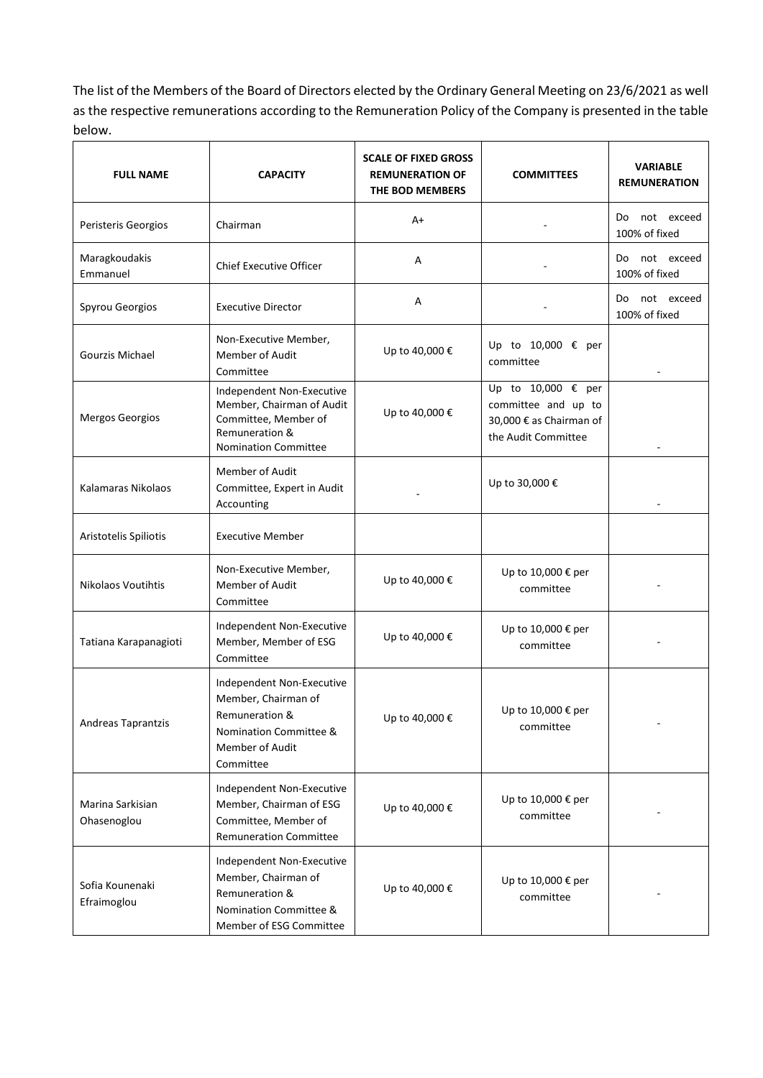The list of the Members of the Board of Directors elected by the Ordinary General Meeting on 23/6/2021 as well as the respective remunerations according to the Remuneration Policy of the Company is presented in the table below.

| <b>FULL NAME</b>                | <b>CAPACITY</b>                                                                                                                 | <b>SCALE OF FIXED GROSS</b><br><b>REMUNERATION OF</b><br>THE BOD MEMBERS | <b>COMMITTEES</b>                                                                           | <b>VARIABLE</b><br><b>REMUNERATION</b> |  |  |
|---------------------------------|---------------------------------------------------------------------------------------------------------------------------------|--------------------------------------------------------------------------|---------------------------------------------------------------------------------------------|----------------------------------------|--|--|
| Peristeris Georgios             | Chairman                                                                                                                        | A+                                                                       |                                                                                             | Do not exceed<br>100% of fixed         |  |  |
| Maragkoudakis<br>Emmanuel       | <b>Chief Executive Officer</b>                                                                                                  | Α                                                                        |                                                                                             | not exceed<br>Do.<br>100% of fixed     |  |  |
| Spyrou Georgios                 | <b>Executive Director</b>                                                                                                       | Α                                                                        |                                                                                             | not exceed<br>Do<br>100% of fixed      |  |  |
| Gourzis Michael                 | Non-Executive Member,<br>Member of Audit<br>Committee                                                                           | Up to 40,000 €                                                           | Up to 10,000 € per<br>committee                                                             |                                        |  |  |
| <b>Mergos Georgios</b>          | Independent Non-Executive<br>Member, Chairman of Audit<br>Committee, Member of<br>Remuneration &<br><b>Nomination Committee</b> | Up to 40,000 €                                                           | Up to 10,000 € per<br>committee and up to<br>30,000 € as Chairman of<br>the Audit Committee |                                        |  |  |
| Kalamaras Nikolaos              | Member of Audit<br>Committee, Expert in Audit<br>Accounting                                                                     |                                                                          | Up to 30,000 €                                                                              |                                        |  |  |
| Aristotelis Spiliotis           | <b>Executive Member</b>                                                                                                         |                                                                          |                                                                                             |                                        |  |  |
| <b>Nikolaos Voutihtis</b>       | Non-Executive Member,<br>Member of Audit<br>Committee                                                                           | Up to 40,000 €                                                           | Up to 10,000 € per<br>committee                                                             |                                        |  |  |
| Tatiana Karapanagioti           | Independent Non-Executive<br>Member, Member of ESG<br>Committee                                                                 | Up to 40,000 €                                                           | Up to 10,000 € per<br>committee                                                             |                                        |  |  |
| Andreas Taprantzis              | Independent Non-Executive<br>Member, Chairman of<br>Remuneration &<br>Nomination Committee &<br>Member of Audit<br>Committee    | Up to 40,000 €                                                           | Up to 10,000 € per<br>committee                                                             |                                        |  |  |
| Marina Sarkisian<br>Ohasenoglou | Independent Non-Executive<br>Member, Chairman of ESG<br>Committee, Member of<br><b>Remuneration Committee</b>                   | Up to 40,000 €                                                           | Up to 10,000 € per<br>committee                                                             |                                        |  |  |
| Sofia Kounenaki<br>Efraimoglou  | Independent Non-Executive<br>Member, Chairman of<br>Remuneration &<br>Nomination Committee &<br>Member of ESG Committee         | Up to 40,000 €                                                           | Up to 10,000 € per<br>committee                                                             |                                        |  |  |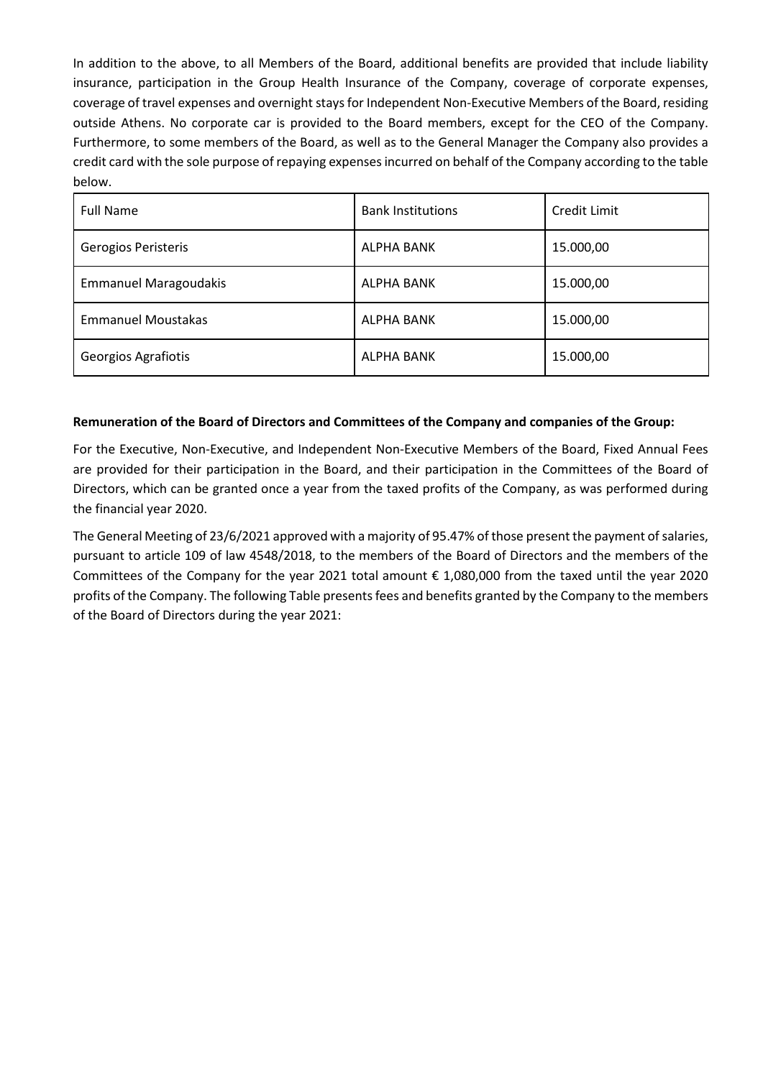In addition to the above, to all Members of the Board, additional benefits are provided that include liability insurance, participation in the Group Health Insurance of the Company, coverage of corporate expenses, coverage of travel expenses and overnight stays for Independent Non-Executive Members of the Board, residing outside Athens. No corporate car is provided to the Board members, except for the CEO of the Company. Furthermore, to some members of the Board, as well as to the General Manager the Company also provides a credit card with the sole purpose of repaying expenses incurred on behalf of the Company according to the table below.

| <b>Full Name</b>             | <b>Bank Institutions</b> | Credit Limit |
|------------------------------|--------------------------|--------------|
| Gerogios Peristeris          | ALPHA BANK               | 15.000,00    |
| <b>Emmanuel Maragoudakis</b> | ALPHA BANK               | 15.000,00    |
| <b>Emmanuel Moustakas</b>    | <b>ALPHA BANK</b>        | 15.000,00    |
| Georgios Agrafiotis          | ALPHA BANK               | 15.000,00    |

#### **Remuneration of the Board of Directors and Committees of the Company and companies of the Group:**

For the Executive, Non-Executive, and Independent Non-Executive Members of the Board, Fixed Annual Fees are provided for their participation in the Board, and their participation in the Committees of the Board of Directors, which can be granted once a year from the taxed profits of the Company, as was performed during the financial year 2020.

The General Meeting of 23/6/2021 approved with a majority of 95.47% of those present the payment of salaries, pursuant to article 109 of law 4548/2018, to the members of the Board of Directors and the members of the Committees of the Company for the year 2021 total amount € 1,080,000 from the taxed until the year 2020 profits of the Company. The following Table presents fees and benefits granted by the Company to the members of the Board of Directors during the year 2021: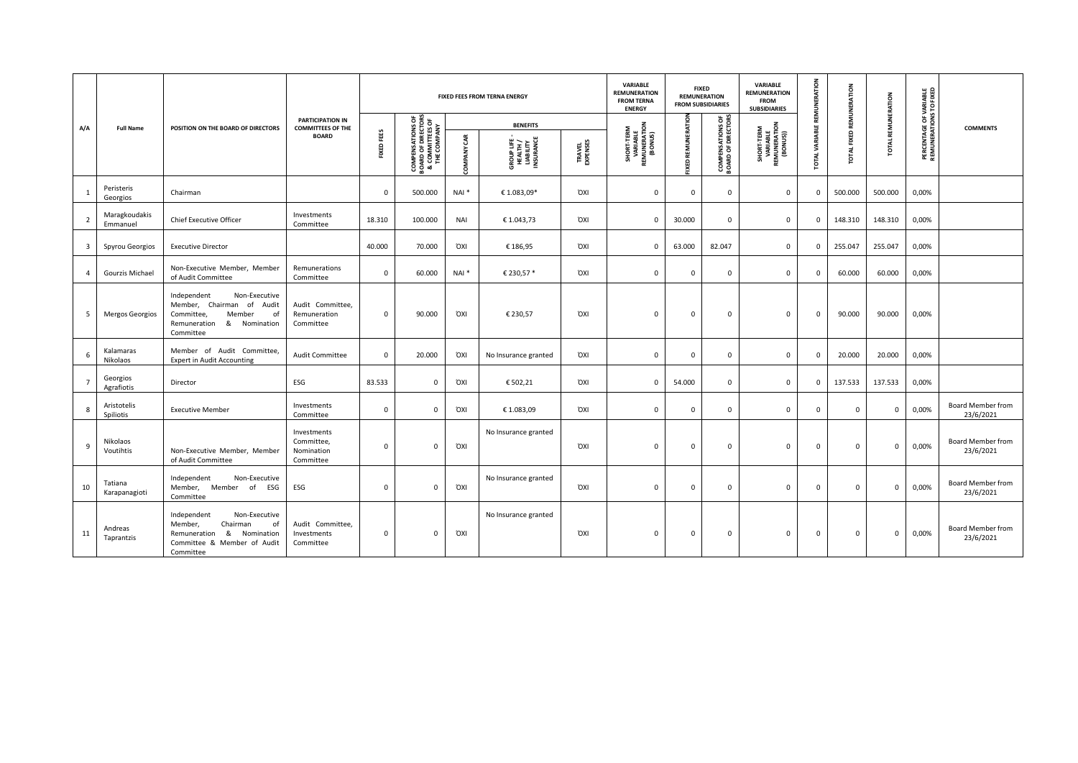|                         | <b>Full Name</b>          | POSITION ON THE BOARD OF DIRECTORS                                                                                                         |                                                      | FIXED FEES FROM TERNA ENERGY |             |                                                                                       |                      | <b>VARIABLE</b><br><b>REMUNERATION</b><br><b>FROM TERNA</b><br><b>ENERGY</b> |                            | <b>FIXED</b><br><b>REMUNERATION</b><br><b>FROM SUBSIDIARIES</b>  | <b>VARIABLE</b><br><b>REMUNERATION</b><br><b>FROM</b><br><b>SUBSIDIARIES</b> | REMUNERATION                                  |                                                              | REMUNERATION                |                 |              |                                                          |
|-------------------------|---------------------------|--------------------------------------------------------------------------------------------------------------------------------------------|------------------------------------------------------|------------------------------|-------------|---------------------------------------------------------------------------------------|----------------------|------------------------------------------------------------------------------|----------------------------|------------------------------------------------------------------|------------------------------------------------------------------------------|-----------------------------------------------|--------------------------------------------------------------|-----------------------------|-----------------|--------------|----------------------------------------------------------|
| A/A                     |                           |                                                                                                                                            | <b>PARTICIPATION IN</b><br><b>COMMITTEES OF THE</b>  |                              |             |                                                                                       | <b>BENEFITS</b>      |                                                                              |                            |                                                                  |                                                                              |                                               |                                                              |                             |                 |              | <b>COMMENTS</b>                                          |
|                         |                           |                                                                                                                                            |                                                      | <b>BOARD</b>                 | FIXED FEES  | <b>COMPENSATIONS OF<br/>BOARD OF DIRECTORS<br/>&amp; COMMITTES OF<br/>THE COMPANY</b> | <b>OMPANY CAR</b>    | <b>GROUP LIFE-<br/>HEALTH /<br/>LIABILITY</b><br>INSURANCE                   | <b>TRAVEL<br/>EXPENSES</b> | <b>SHORT-TERM<br/>VARIABLE<br/>REMUNERATION<br/>REMUNERATION</b> | IXED REMUNERATION                                                            | <b>COMPENSATIONS OF</b><br>BOARD OF DIRECTORS | <b>SHORT-TERM<br/>VARIABLE<br/>REMUNERATION<br/>(BONUS))</b> | TOTAL VARIABLE REMUNERATION | FIXED<br>₹<br>ē | <b>TOTAL</b> | <b>PERCENTAGE OF VARIABLE<br/>REMUNERATIONS TO FIXED</b> |
| $\overline{1}$          | Peristeris<br>Georgios    | Chairman                                                                                                                                   |                                                      | $\Omega$                     | 500.000     | NAI <sup>*</sup>                                                                      | € 1.083,09*          | <b>OXI</b>                                                                   | $\mathbf 0$                | $\mathbf 0$                                                      | $\Omega$                                                                     | $\mathbf 0$                                   | $^{\circ}$                                                   | 500.000                     | 500.000         | 0,00%        |                                                          |
| $\overline{2}$          | Maragkoudakis<br>Emmanuel | <b>Chief Executive Officer</b>                                                                                                             | Investments<br>Committee                             | 18.310                       | 100.000     | <b>NAI</b>                                                                            | €1.043.73            | <b>OXI</b>                                                                   | $\mathbf 0$                | 30,000                                                           | $\Omega$                                                                     | $\mathbf 0$                                   | $^{\circ}$                                                   | 148.310                     | 148.310         | 0,00%        |                                                          |
| $\overline{\mathbf{3}}$ | Spyrou Georgios           | <b>Executive Director</b>                                                                                                                  |                                                      | 40.000                       | 70.000      | <b>OXI</b>                                                                            | € 186,95             | <b>OXI</b>                                                                   | 0                          | 63.000                                                           | 82.047                                                                       | $\mathbf 0$                                   | $\mathbf{0}$                                                 | 255.047                     | 255.047         | 0,00%        |                                                          |
| $\overline{4}$          | Gourzis Michael           | Non-Executive Member, Member<br>of Audit Committee                                                                                         | Remunerations<br>Committee                           | $\mathbf 0$                  | 60.000      | $NAI^*$                                                                               | € 230,57 *           | <b>OXI</b>                                                                   | $\mathbf 0$                | $^{\circ}$                                                       | $\Omega$                                                                     | $\mathbf 0$                                   | $\mathbf{0}$                                                 | 60.000                      | 60.000          | 0,00%        |                                                          |
| 5                       | <b>Mergos Georgios</b>    | Non-Executive<br>Independent<br>Member, Chairman<br>of Audit<br>Member<br>of<br>Committee,<br>Remuneration<br>&<br>Nomination<br>Committee | Audit Committee,<br>Remuneration<br>Committee        | $\Omega$                     | 90.000      | <b>OXI</b>                                                                            | € 230,57             | <b>OXI</b>                                                                   | $\Omega$                   | $\mathbf 0$                                                      | $\Omega$                                                                     | $\mathbf 0$                                   | $\overline{0}$                                               | 90.000                      | 90.000          | 0,00%        |                                                          |
| 6                       | Kalamaras<br>Nikolaos     | Member of Audit Committee,<br><b>Expert in Audit Accounting</b>                                                                            | <b>Audit Committee</b>                               | $\mathbf 0$                  | 20,000      | <b>OXI</b>                                                                            | No Insurance granted | <b>OXI</b>                                                                   | 0                          | $\mathbf 0$                                                      | $\mathbf 0$                                                                  | $\mathbf 0$                                   | $\overline{0}$                                               | 20.000                      | 20.000          | 0,00%        |                                                          |
| $\overline{7}$          | Georgios<br>Agrafiotis    | Director                                                                                                                                   | ESG                                                  | 83.533                       | $\mathbf 0$ | <b>OXI</b>                                                                            | € 502,21             | <b>OXI</b>                                                                   | 0                          | 54.000                                                           | $\mathbf 0$                                                                  | $\mathbf 0$                                   | $^{\circ}$                                                   | 137.533                     | 137.533         | 0,00%        |                                                          |
| 8                       | Aristotelis<br>Spiliotis  | <b>Executive Member</b>                                                                                                                    | Investments<br>Committee                             | $^{\circ}$                   | 0           | <b>OXI</b>                                                                            | €1.083,09            | <b>OXI</b>                                                                   | $\mathbf 0$                | $\mathbf 0$                                                      | $\Omega$                                                                     | $\mathbf 0$                                   | $\mathbf 0$                                                  | $\Omega$                    | $^{\circ}$      | 0,00%        | Board Member from<br>23/6/2021                           |
| 9                       | Nikolaos<br>Voutihtis     | Non-Executive Member, Member<br>of Audit Committee                                                                                         | Investments<br>Committee,<br>Nomination<br>Committee | $\mathbf 0$                  | $\Omega$    | <b>OXI</b>                                                                            | No Insurance granted | <b>OXI</b>                                                                   | $\mathbf 0$                | $\mathbf 0$                                                      | $\Omega$                                                                     | $\mathbf 0$                                   | $\overline{\mathbf{0}}$                                      | 0                           | $\mathbf 0$     | 0,00%        | Board Member from<br>23/6/2021                           |
| 10                      | Tatiana<br>Karapanagioti  | Independent<br>Non-Executive<br>Member, Member of<br>ESG<br>Committee                                                                      | ESG                                                  | $\mathbf 0$                  | $\mathbf 0$ | <b>OXI</b>                                                                            | No Insurance granted | <b>OXI</b>                                                                   | $\mathbf 0$                | $\mathbf 0$                                                      | $\Omega$                                                                     | $^{\circ}$                                    | $\overline{0}$                                               | $^{\circ}$                  | $^{\circ}$      | 0,00%        | Board Member from<br>23/6/2021                           |
| 11                      | Andreas<br>Taprantzis     | Non-Executive<br>Independent<br>Member,<br>Chairman<br>of<br>&<br>Nomination<br>Remuneration<br>Committee & Member of Audit<br>Committee   | Audit Committee,<br>Investments<br>Committee         | $\Omega$                     | $\Omega$    | <b>OXI</b>                                                                            | No Insurance granted | <b>OXI</b>                                                                   | $\mathbf 0$                | $^{\circ}$                                                       | $\Omega$                                                                     | $^{\circ}$                                    | $\mathbf{0}$                                                 | $^{\circ}$                  | $\Omega$        | 0,00%        | <b>Board Member from</b><br>23/6/2021                    |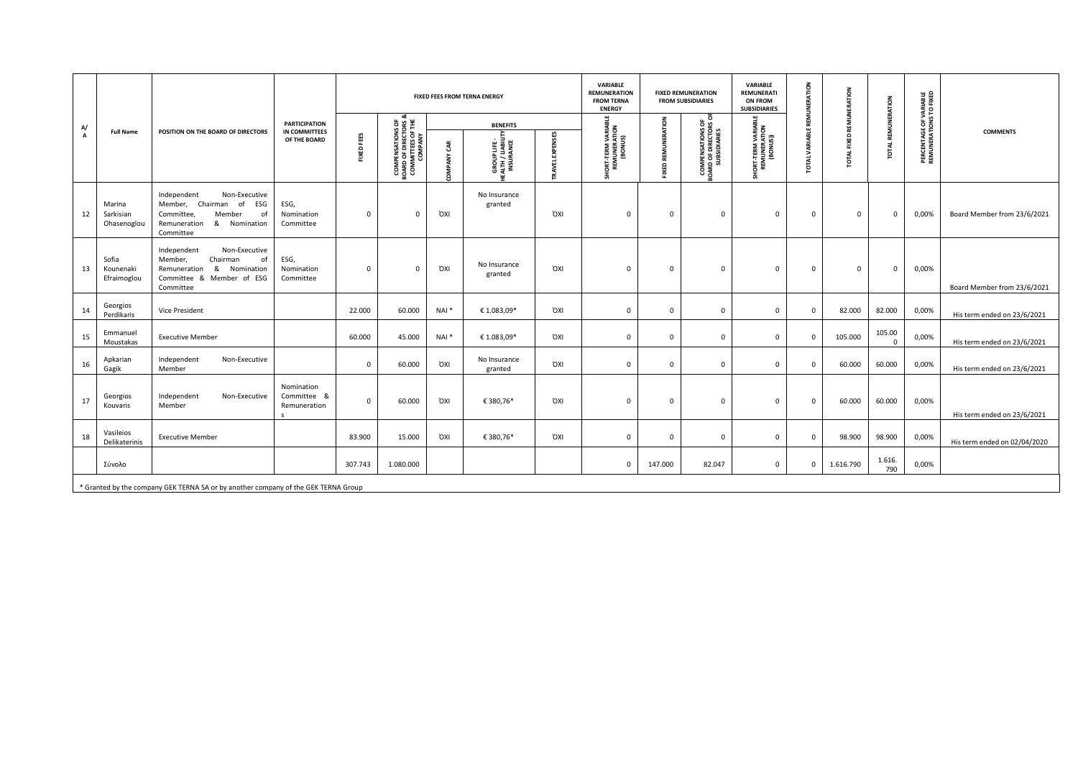|         | <b>Full Name</b>                   |                                                                                                                                         |                                           | <b>FIXED FEES FROM TERNA ENERGY</b> |                                                                                        |                     |                                              |                           | VARIABLE<br><b>REMUNERATION</b><br><b>FROM TERNA</b><br><b>ENERGY</b> | <b>FIXED REMUNERATION</b><br><b>FROM SUBSIDIARIES</b> |                                                                   | VARIABLE<br>RATION<br><b>REMUNERATI</b><br><b>ON FROM</b><br><b>SUBSIDIARIES</b> |                    | REMUNERATION                     |                    |                                                          |                              |  |
|---------|------------------------------------|-----------------------------------------------------------------------------------------------------------------------------------------|-------------------------------------------|-------------------------------------|----------------------------------------------------------------------------------------|---------------------|----------------------------------------------|---------------------------|-----------------------------------------------------------------------|-------------------------------------------------------|-------------------------------------------------------------------|----------------------------------------------------------------------------------|--------------------|----------------------------------|--------------------|----------------------------------------------------------|------------------------------|--|
| A/<br>A |                                    | POSITION ON THE BOARD OF DIRECTORS                                                                                                      | <b>PARTICIPATION</b>                      |                                     | ಹ                                                                                      |                     | <b>BENEFITS</b>                              |                           |                                                                       |                                                       |                                                                   |                                                                                  |                    |                                  | REMUNERATION       |                                                          |                              |  |
|         |                                    |                                                                                                                                         | IN COMMITTEES<br>OF THE BOARD             | FIXED FEES                          | <b>COMPENSATIONS OF<br/>BOARD OF DIRECTORS &amp;<br/>COMMITTEES OF THE<br/>COMPANY</b> | GR<br><b>OMPANY</b> | GROUPLIFE-<br>EALTH / LIABILITY<br>INSURANCE | <b>EXPENSES</b><br>RAVELI | HORT-TERM VARIABLE<br>REMUNERATION<br>(BONUS)                         | <b>FIXED REMUNERATION</b>                             | <b>COMPENSATIONS OF<br/>BOARD OF DIRECTORS OF</b><br>SUBSIDIARIES | SHORT-TERM VARIABL<br>REMUNERATION<br>(BONUS))                                   | XAR<br><b>OTAL</b> | <b>IXED</b><br>щ<br><b>TOTAL</b> | TOTAL              | <b>PERCENTAGE OF VARIABLE<br/>REMUNERATIONS TO FIXED</b> | <b>COMMENTS</b>              |  |
| 12      | Marina<br>Sarkisian<br>Ohasenoglou | Independent<br>Non-Executive<br>Member, Chairman<br>of<br>ESG<br>of<br>Committee<br>Member<br>& Nomination<br>Remuneration<br>Committee | ESG,<br>Nomination<br>Committee           | $\mathsf 0$                         | $\Omega$                                                                               | <b>OXI</b>          | No Insurance<br>granted                      | <b>OXI</b>                | $\mathbf 0$                                                           | $\mathbf 0$                                           | $\mathbf 0$                                                       | $\mathbf 0$                                                                      | $\mathbf 0$        | $\mathbf 0$                      | $\mathbf 0$        | 0,00%                                                    | Board Member from 23/6/2021  |  |
| 13      | Sofia<br>Kounenaki<br>Efraimoglou  | Independent<br>Non-Executive<br>Chairman<br>Member.<br>of<br>&<br>Nomination<br>Remuneration<br>Committee & Member of ESG<br>Committee  | ESG,<br>Nomination<br>Committee           | $\mathsf 0$                         | $\Omega$                                                                               | <b>OXI</b>          | No Insurance<br>granted                      | <b>OXI</b>                | $\Omega$                                                              | $\mathbf 0$                                           | $^{\circ}$                                                        | $\mathbf 0$                                                                      | $\mathbf{0}$       | $\mathbf 0$                      | $\mathbf 0$        | 0,00%                                                    | Board Member from 23/6/2021  |  |
| 14      | Georgios<br>Perdikaris             | <b>Vice President</b>                                                                                                                   |                                           | 22.000                              | 60.000                                                                                 | $NAI^*$             | € 1.083,09*                                  | <b>OXI</b>                | 0                                                                     | $\mathbf 0$                                           | 0                                                                 | 0                                                                                | 0                  | 82.000                           | 82.000             | 0,00%                                                    | His term ended on 23/6/2021  |  |
| 15      | Emmanuel<br>Moustakas              | <b>Executive Member</b>                                                                                                                 |                                           | 60.000                              | 45.000                                                                                 | NAI <sup>*</sup>    | € 1.083,09*                                  | <b>OXI</b>                | $\mathbf 0$                                                           | $\mathbf 0$                                           | $\mathbf 0$                                                       | $\mathbf 0$                                                                      | $\mathbf{0}$       | 105.000                          | 105.00<br>$\Omega$ | 0,00%                                                    | His term ended on 23/6/2021  |  |
| 16      | Apkarian<br>Gagik                  | Independent<br>Non-Executive<br>Member                                                                                                  |                                           | $\mathsf 0$                         | 60,000                                                                                 | <b>OXI</b>          | No Insurance<br>granted                      | <b>OXI</b>                | $\mathbf 0$                                                           | $\mathbf 0$                                           | $^{\circ}$                                                        | 0                                                                                | $\mathbf{0}$       | 60,000                           | 60.000             | 0,00%                                                    | His term ended on 23/6/2021  |  |
| 17      | Georgios<br>Kouvaris               | Independent<br>Non-Executive<br>Member                                                                                                  | Nomination<br>Committee &<br>Remuneration | $\mathsf 0$                         | 60.000                                                                                 | <b>OXI</b>          | €380,76*                                     | <b>OXI</b>                | $\mathbf 0$                                                           | $\mathbf 0$                                           | $\mathbf 0$                                                       | 0                                                                                | $\mathbf 0$        | 60.000                           | 60.000             | 0,00%                                                    | His term ended on 23/6/2021  |  |
| 18      | Vasileios<br>Delikaterinis         | <b>Executive Member</b>                                                                                                                 |                                           | 83.900                              | 15.000                                                                                 | <b>OXI</b>          | € 380,76*                                    | <b>OXI</b>                | 0                                                                     | $\mathbf 0$                                           | $\mathbf 0$                                                       | $\mathbf 0$                                                                      | $\mathbf{0}$       | 98.900                           | 98.900             | 0,00%                                                    | His term ended on 02/04/2020 |  |
|         | Σύνολο                             |                                                                                                                                         |                                           | 307.743                             | 1.080.000                                                                              |                     |                                              |                           | $^{\circ}$                                                            | 147.000                                               | 82.047                                                            | $\mathbf 0$                                                                      | $\mathbf{0}$       | 1.616.790                        | 1.616.<br>790      | 0,00%                                                    |                              |  |
|         |                                    | * Granted by the company GEK TERNA SA or by another company of the GEK TERNA Group                                                      |                                           |                                     |                                                                                        |                     |                                              |                           |                                                                       |                                                       |                                                                   |                                                                                  |                    |                                  |                    |                                                          |                              |  |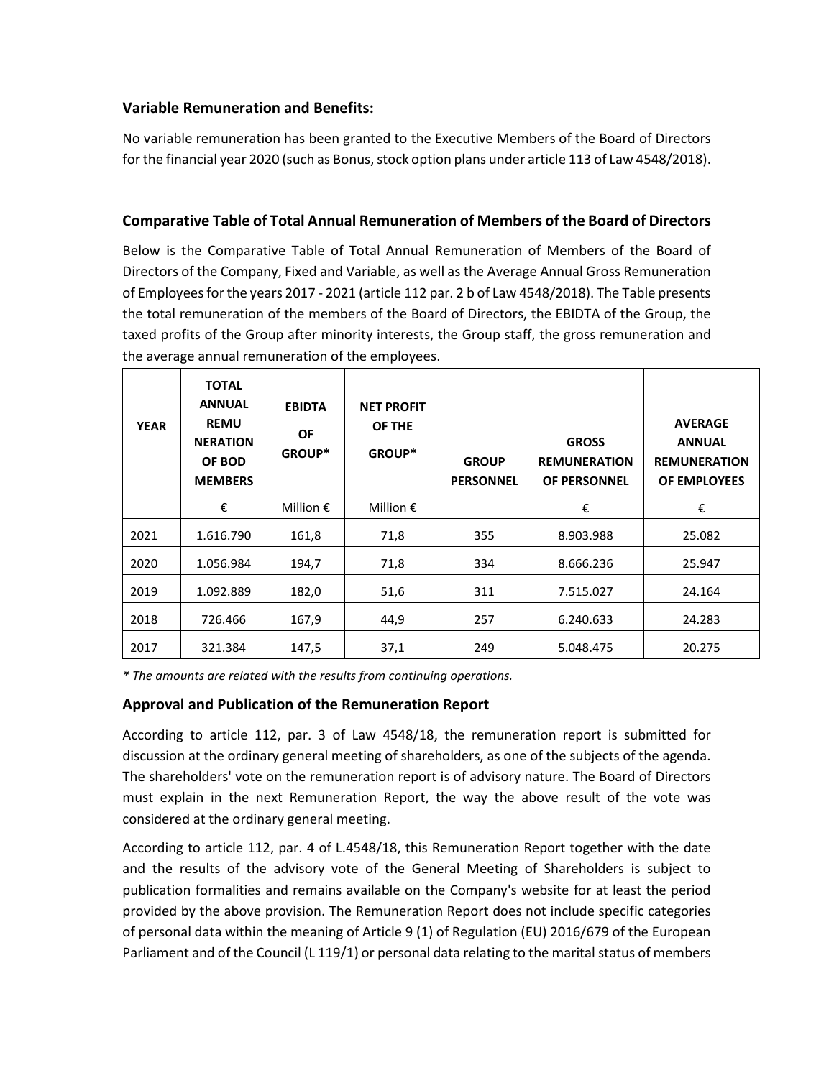### **Variable Remuneration and Benefits:**

No variable remuneration has been granted to the Executive Members of the Board of Directors for the financial year 2020 (such as Bonus, stock option plans under article 113 of Law 4548/2018).

## **Comparative Table of Total Annual Remuneration of Members of the Board of Directors**

Below is the Comparative Table of Total Annual Remuneration of Members of the Board of Directors of the Company, Fixed and Variable, as well as the Average Annual Gross Remuneration of Employees for the years 2017 - 2021 (article 112 par. 2 b of Law 4548/2018). The Table presents the total remuneration of the members of the Board of Directors, the EBIDTA of the Group, the taxed profits of the Group after minority interests, the Group staff, the gross remuneration and the average annual remuneration of the employees.

| <b>YEAR</b> | <b>TOTAL</b><br><b>ANNUAL</b><br><b>REMU</b><br><b>NERATION</b><br>OF BOD<br><b>MEMBERS</b> | <b>EBIDTA</b><br><b>OF</b><br><b>GROUP*</b> | <b>NET PROFIT</b><br>OF THE<br>GROUP* | <b>GROUP</b><br><b>PERSONNEL</b> | <b>GROSS</b><br><b>REMUNERATION</b><br><b>OF PERSONNEL</b> | <b>AVERAGE</b><br><b>ANNUAL</b><br><b>REMUNERATION</b><br>OF EMPLOYEES |
|-------------|---------------------------------------------------------------------------------------------|---------------------------------------------|---------------------------------------|----------------------------------|------------------------------------------------------------|------------------------------------------------------------------------|
|             | €                                                                                           | Million $\epsilon$                          | Million $\epsilon$                    |                                  | €                                                          | €                                                                      |
| 2021        | 1.616.790                                                                                   | 161,8                                       | 71,8                                  | 355                              | 8.903.988                                                  | 25.082                                                                 |
| 2020        | 1.056.984                                                                                   | 194,7                                       | 71,8                                  | 334                              | 8.666.236                                                  | 25.947                                                                 |
| 2019        | 1.092.889                                                                                   | 182,0                                       | 51,6                                  | 311                              | 7.515.027                                                  | 24.164                                                                 |
| 2018        | 726.466                                                                                     | 167,9                                       | 44,9                                  | 257                              | 6.240.633                                                  | 24.283                                                                 |
| 2017        | 321.384                                                                                     | 147,5                                       | 37,1                                  | 249                              | 5.048.475                                                  | 20.275                                                                 |

*\* The amounts are related with the results from continuing operations.*

### **Approval and Publication of the Remuneration Report**

According to article 112, par. 3 of Law 4548/18, the remuneration report is submitted for discussion at the ordinary general meeting of shareholders, as one of the subjects of the agenda. The shareholders' vote on the remuneration report is of advisory nature. The Board of Directors must explain in the next Remuneration Report, the way the above result of the vote was considered at the ordinary general meeting.

According to article 112, par. 4 of L.4548/18, this Remuneration Report together with the date and the results of the advisory vote of the General Meeting of Shareholders is subject to publication formalities and remains available on the Company's website for at least the period provided by the above provision. The Remuneration Report does not include specific categories of personal data within the meaning of Article 9 (1) of Regulation (EU) 2016/679 of the European Parliament and of the Council (L 119/1) or personal data relating to the marital status of members